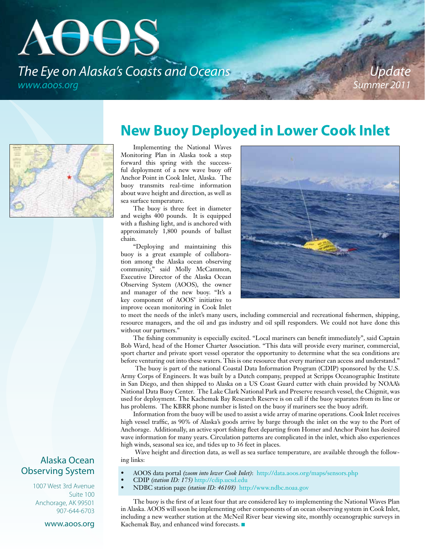# AUUS *The Eye on Alaska's Coasts and Oceans www.aoos.org*

*Update Summer 2011*

## **New Buoy Deployed in Lower Cook Inlet**

Implementing the National Waves Monitoring Plan in Alaska took a step forward this spring with the successful deployment of a new wave buoy off Anchor Point in Cook Inlet, Alaska. The buoy transmits real-time information about wave height and direction, as well as sea surface temperature.

The buoy is three feet in diameter and weighs 400 pounds. It is equipped with a flashing light, and is anchored with approximately 1,800 pounds of ballast chain.

"Deploying and maintaining this buoy is a great example of collaboration among the Alaska ocean observing community," said Molly McCammon, Executive Director of the Alaska Ocean Observing System (AOOS), the owner and manager of the new buoy. "It's a key component of AOOS' initiative to improve ocean monitoring in Cook Inlet



to meet the needs of the inlet's many users, including commercial and recreational fishermen, shipping, resource managers, and the oil and gas industry and oil spill responders. We could not have done this without our partners."

The fishing community is especially excited. "Local mariners can benefit immediately", said Captain Bob Ward, head of the Homer Charter Association. "This data will provide every mariner, commercial, sport charter and private sport vessel operator the opportunity to determine what the sea conditions are before venturing out into these waters. This is one resource that every mariner can access and understand."

 The buoy is part of the national Coastal Data Information Program (CDIP) sponsored by the U.S. Army Corps of Engineers. It was built by a Dutch company, prepped at Scripps Oceanographic Institute in San Diego, and then shipped to Alaska on a US Coast Guard cutter with chain provided by NOAA's National Data Buoy Center. The Lake Clark National Park and Preserve research vessel, the Chigmit, was used for deployment. The Kachemak Bay Research Reserve is on call if the buoy separates from its line or has problems. The KBRR phone number is listed on the buoy if mariners see the buoy adrift.

Information from the buoy will be used to assist a wide array of marine operations. Cook Inlet receives high vessel traffic, as 90% of Alaska's goods arrive by barge through the inlet on the way to the Port of Anchorage. Additionally, an active sport fishing fleet departing from Homer and Anchor Point has desired wave information for many years. Circulation patterns are complicated in the inlet, which also experiences high winds, seasonal sea ice, and tides up to 36 feet in places.

 Wave height and direction data, as well as sea surface temperature, are available through the following links:

- AOOS data portal *(zoom into lower Cook Inlet)*: http://data.aoos.org/maps/sensors.php
- CDIP *(station ID: 175)* http://cdip.ucsd.edu
- NDBC station page *(station ID: 46108)* http://www.ndbc.noaa.gov

The buoy is the first of at least four that are considered key to implementing the National Waves Plan in Alaska. AOOS will soon be implementing other components of an ocean observing system in Cook Inlet, including a new weather station at the McNeil River bear viewing site, monthly oceanographic surveys in Kachemak Bay, and enhanced wind forecasts.  $\blacksquare$ 

#### Alaska Ocean Observing System

1007 West 3rd Avenue Suite 100 Anchorage, AK 99501 907-644-6703

#### www.aoos.org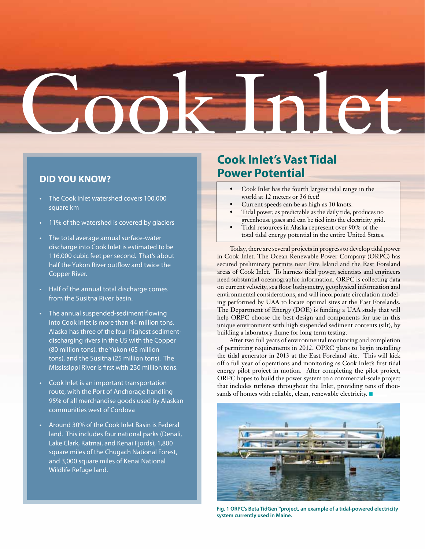# Cook Inlet

#### **DID YOU KNOW?**

- The Cook Inlet watershed covers 100,000 square km
- 11% of the watershed is covered by glaciers
- The total average annual surface-water discharge into Cook Inlet is estimated to be 116,000 cubic feet per second. That's about half the Yukon River outflow and twice the Copper River.
- Half of the annual total discharge comes from the Susitna River basin.
- The annual suspended-sediment flowing into Cook Inlet is more than 44 million tons. Alaska has three of the four highest sedimentdischarging rivers in the US with the Copper (80 million tons), the Yukon (65 million tons), and the Susitna (25 million tons). The Mississippi River is first with 230 million tons.
- Cook Inlet is an important transportation route, with the Port of Anchorage handling 95% of all merchandise goods used by Alaskan communities west of Cordova
- Around 30% of the Cook Inlet Basin is Federal land. This includes four national parks (Denali, Lake Clark, Katmai, and Kenai Fjords), 1,800 square miles of the Chugach National Forest, and 3,000 square miles of Kenai National Wildlife Refuge land.

## **Cook Inlet's Vast Tidal Power Potential**

- Cook Inlet has the fourth largest tidal range in the world at 12 meters or 36 feet!
- Current speeds can be as high as 10 knots.
- Tidal power, as predictable as the daily tide, produces no greenhouse gases and can be tied into the electricity grid.
- Tidal resources in Alaska represent over 90% of the total tidal energy potential in the entire United States.

Today, there are several projects in progress to develop tidal power in Cook Inlet. The Ocean Renewable Power Company (ORPC) has secured preliminary permits near Fire Island and the East Foreland areas of Cook Inlet. To harness tidal power, scientists and engineers need substantial oceanographic information. ORPC is collecting data on current velocity, sea floor bathymetry, geophysical information and environmental considerations, and will incorporate circulation modeling performed by UAA to locate optimal sites at the East Forelands. The Department of Energy (DOE) is funding a UAA study that will help ORPC choose the best design and components for use in this unique environment with high suspended sediment contents (silt), by building a laboratory flume for long term testing.

After two full years of environmental monitoring and completion of permitting requirements in 2012, OPRC plans to begin installing the tidal generator in 2013 at the East Foreland site. This will kick off a full year of operations and monitoring as Cook Inlet's first tidal energy pilot project in motion. After completing the pilot project, ORPC hopes to build the power system to a commercial-scale project that includes turbines throughout the Inlet, providing tens of thousands of homes with reliable, clean, renewable electricity.  $\blacksquare$ 



**Fig. 1 ORPC's Beta TidGen™project, an example of a tidal-powered electricity system currently used in Maine.**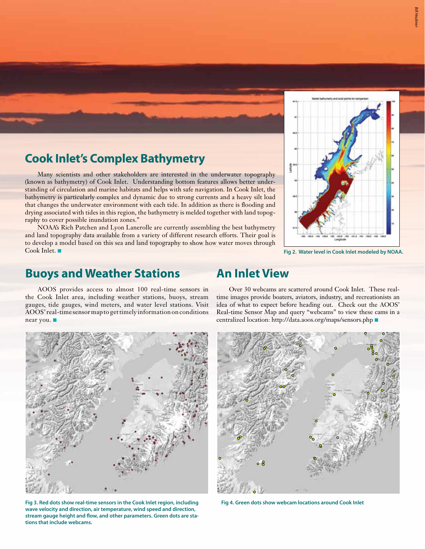

Many scientists and other stakeholders are interested in the underwater topography (known as bathymetry) of Cook Inlet. Understanding bottom features allows better understanding of circulation and marine habitats and helps with safe navigation. In Cook Inlet, the bathymetry is particularly complex and dynamic due to strong currents and a heavy silt load that changes the underwater environment with each tide. In addition as there is flooding and drying associated with tides in this region, the bathymetry is melded together with land topography to cover possible inundation zones."

NOAA's Rich Patchen and Lyon Lanerolle are currently assembling the best bathymetry and land topography data available from a variety of different research efforts. Their goal is to develop a model based on this sea and land topography to show how water moves through Cook Inlet. <sup>n</sup> **Fig 2. Water level in Cook Inlet modeled by NOAA.**

#### **Buoys and Weather Stations**

## **An Inlet View**

AOOS provides access to almost 100 real-time sensors in the Cook Inlet area, including weather stations, buoys, stream gauges, tide gauges, wind meters, and water level stations. Visit AOOS' real-time sensor map to get timely information on conditions near you.  $\blacksquare$ 

Over 30 webcams are scattered around Cook Inlet. These realtime images provide boaters, aviators, industry, and recreationists an idea of what to expect before heading out. Check out the AOOS' Real-time Sensor Map and query "webcams" to view these cams in a centralized location: http://data.aoos.org/maps/sensors.php



**wave velocity and direction, air temperature, wind speed and direction, stream gauge height and flow, and other parameters. Green dots are stations that include webcams.**



**Fig 4. Green dots show webcam locations around Cook Inlet**